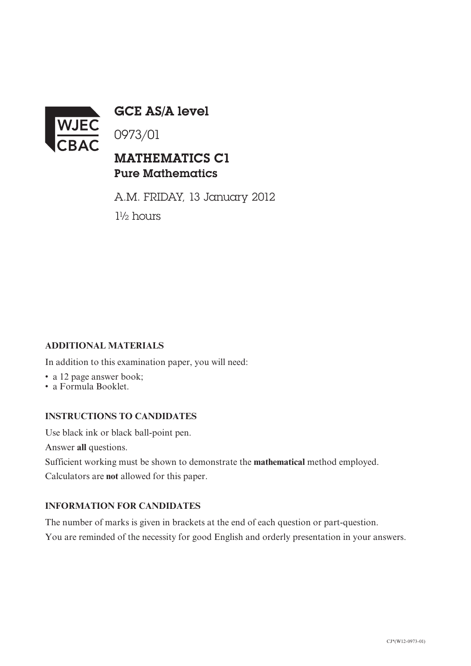

GCE AS/A level

0973/01

## MATHEMATICS C1 Pure Mathematics

A.M. FRIDAY, 13 January 2012 1½ hours

### **ADDITIONAL MATERIALS**

In addition to this examination paper, you will need:

- a 12 page answer book:
- a Formula Booklet.

#### **INSTRUCTIONS TO CANDIDATES**

Use black ink or black ball-point pen.

Answer **all** questions.

Sufficient working must be shown to demonstrate the **mathematical** method employed.

Calculators are **not** allowed for this paper.

#### **INFORMATION FOR CANDIDATES**

The number of marks is given in brackets at the end of each question or part-question. You are reminded of the necessity for good English and orderly presentation in your answers.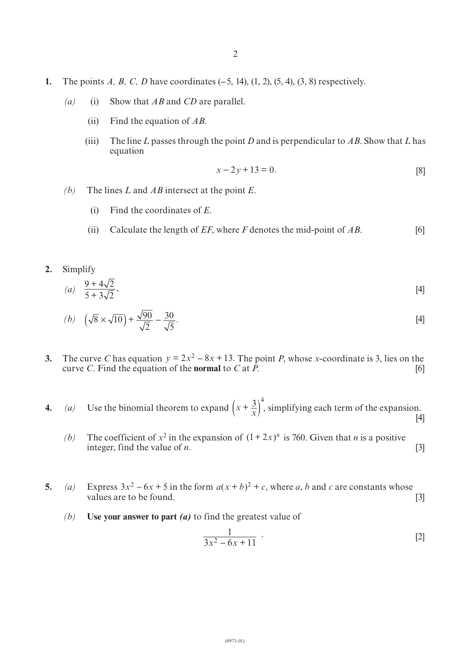- **1.** The points *A, B, C, D* have coordinates (**–**5, 14), (1, 2), (5, 4), (3, 8) respectively.
	- *(a)* (i) Show that *AB* and *CD* are parallel.
		- (ii) Find the equation of *AB*.
		- (iii) The line *L* passes through the point *D* and is perpendicular to *AB*. Show that *L* has equation

$$
x - 2y + 13 = 0.
$$
 [8]

- *(b)* The lines *L* and *AB* intersect at the point *E*.
	- (i) Find the coordinates of *E*.
	- (ii) Calculate the length of *EF*, where *F* denotes the mid-point of *AB*. [6]
- **2.** Simplify

(a) 
$$
\frac{9+4\sqrt{2}}{5+3\sqrt{2}}
$$
, [4]

(b) 
$$
\left(\sqrt{8} \times \sqrt{10}\right) + \frac{\sqrt{90}}{\sqrt{2}} - \frac{30}{\sqrt{5}}
$$
 [4]

- **3.** The curve *C* has equation  $y = 2x^2 8x + 13$ . The point *P*, whose *x*-coordinate is 3, lies on the curve *C*. Find the equation of the **normal** to *C* at  $\hat{P}$ . [6]
- **4.** *(a)* Use the binomial theorem to expand  $\left(x + \frac{3}{x}\right)^4$ , simplifying each term of the expansion. [4]
	- *(b)* The coefficient of  $x^2$  in the expansion of  $(1 + 2x)^n$  is 760. Given that *n* is a positive integer, find the value of *n*. [3]
- **5.** *(a)* Express  $3x^2 6x + 5$  in the form  $a(x + b)^2 + c$ , where *a*, *b* and *c* are constants whose values are to be found. [3]
	- *(b)* **Use your answer to part** *(a)* to find the greatest value of

$$
\frac{1}{3x^2 - 6x + 11} \tag{2}
$$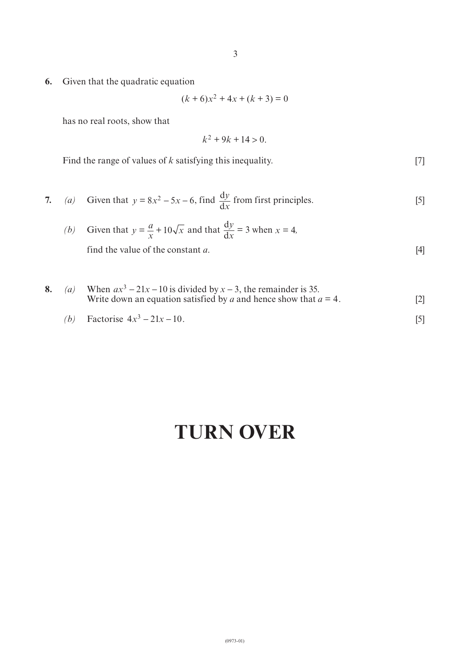**6.** Given that the quadratic equation

 $(k+6)x^{2} + 4x + (k+3) = 0$ 

has no real roots, show that

$$
k^2 + 9k + 14 > 0.
$$

Find the range of values of *k* satisfying this inequality. [7]

7. (a) Given that 
$$
y = 8x^2 - 5x - 6
$$
, find  $\frac{dy}{dx}$  from first principles. [5]

(b) Given that 
$$
y = \frac{a}{x} + 10\sqrt{x}
$$
 and that  $\frac{dy}{dx} = 3$  when  $x = 4$ ,  
find the value of the constant a. [4]

**8.** *(a)* When  $ax^3 - 21x - 10$  is divided by  $x - 3$ , the remainder is 35. Write down an equation satisfied by  $a$  and hence show that  $a = 4$ . [2]  $ax^3 - 21x - 10$  *is divided by x - 3*  $a = 4$ 

(b) Factorise 
$$
4x^3 - 21x - 10
$$
. [5]

# **TURN OVER**